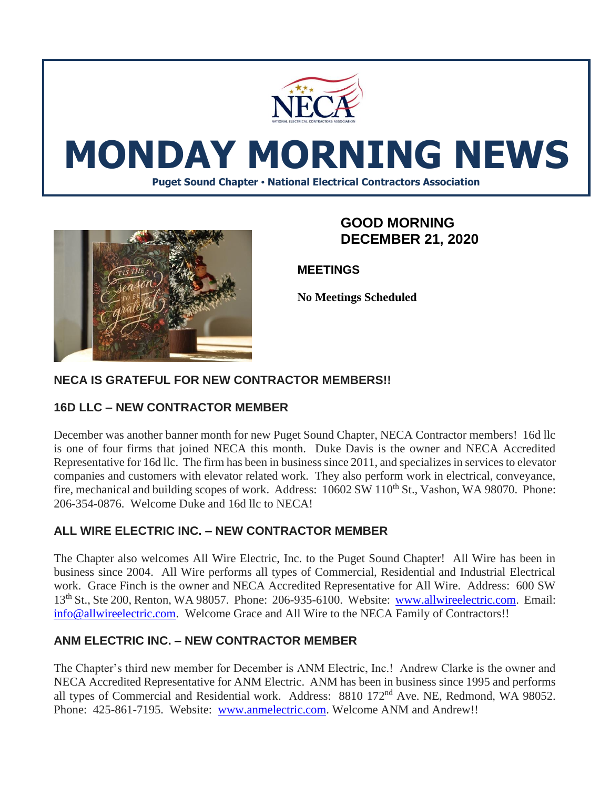

# **MONDAY MORNING NEWS**

**Puget Sound Chapter • National Electrical Contractors Association**



## **GOOD MORNING DECEMBER 21, 2020**

**MEETINGS**

**No Meetings Scheduled**

## **NECA IS GRATEFUL FOR NEW CONTRACTOR MEMBERS!!**

## **16D LLC – NEW CONTRACTOR MEMBER**

December was another banner month for new Puget Sound Chapter, NECA Contractor members! 16d llc is one of four firms that joined NECA this month. Duke Davis is the owner and NECA Accredited Representative for 16d llc. The firm has been in business since 2011, and specializes in services to elevator companies and customers with elevator related work. They also perform work in electrical, conveyance, fire, mechanical and building scopes of work. Address: 10602 SW 110<sup>th</sup> St., Vashon, WA 98070. Phone: 206-354-0876. Welcome Duke and 16d llc to NECA!

## **ALL WIRE ELECTRIC INC. – NEW CONTRACTOR MEMBER**

The Chapter also welcomes All Wire Electric, Inc. to the Puget Sound Chapter! All Wire has been in business since 2004. All Wire performs all types of Commercial, Residential and Industrial Electrical work. Grace Finch is the owner and NECA Accredited Representative for All Wire. Address: 600 SW 13th St., Ste 200, Renton, WA 98057. Phone: 206-935-6100. Website: [www.allwireelectric.com.](http://www.allwireelectric.com/) Email: [info@allwireelectric.com.](mailto:info@allwireelectric.com) Welcome Grace and All Wire to the NECA Family of Contractors!!

## **ANM ELECTRIC INC. – NEW CONTRACTOR MEMBER**

The Chapter's third new member for December is ANM Electric, Inc.! Andrew Clarke is the owner and NECA Accredited Representative for ANM Electric. ANM has been in business since 1995 and performs all types of Commercial and Residential work. Address: 8810 172<sup>nd</sup> Ave. NE, Redmond, WA 98052. Phone: 425-861-7195. Website: [www.anmelectric.com.](http://www.anmelectric.com/) Welcome ANM and Andrew!!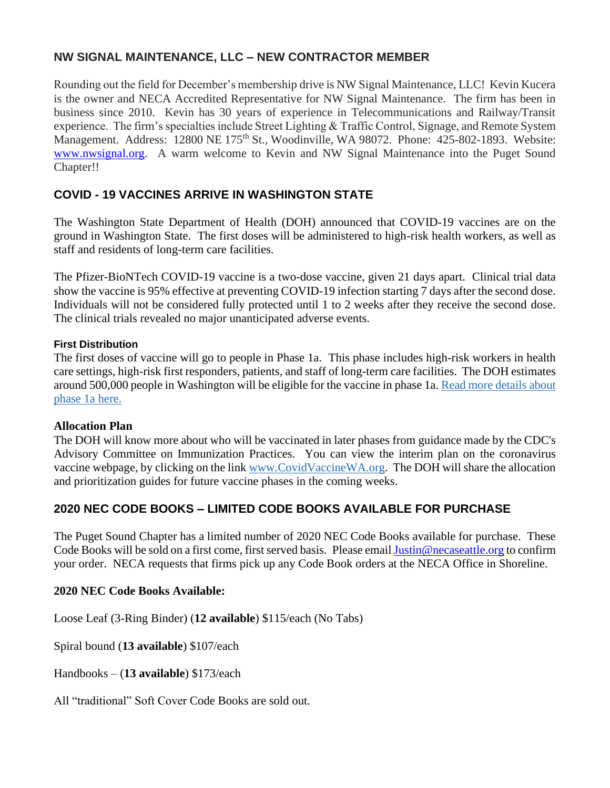## **NW SIGNAL MAINTENANCE, LLC – NEW CONTRACTOR MEMBER**

Rounding out the field for December's membership drive is NW Signal Maintenance, LLC! Kevin Kucera is the owner and NECA Accredited Representative for NW Signal Maintenance. The firm has been in business since 2010. Kevin has 30 years of experience in Telecommunications and Railway/Transit experience. The firm's specialties include Street Lighting & Traffic Control, Signage, and Remote System Management. Address: 12800 NE 175<sup>th</sup> St., Woodinville, WA 98072. Phone: 425-802-1893. Website: [www.nwsignal.org.](http://www.nwsignal.org/) A warm welcome to Kevin and NW Signal Maintenance into the Puget Sound Chapter!!

## **COVID - 19 VACCINES ARRIVE IN WASHINGTON STATE**

The Washington State Department of Health (DOH) announced that COVID-19 vaccines are on the ground in Washington State. The first doses will be administered to high-risk health workers, as well as staff and residents of long-term care facilities.

The Pfizer-BioNTech COVID-19 vaccine is a two-dose vaccine, given 21 days apart. Clinical trial data show the vaccine is 95% effective at preventing COVID-19 infection starting 7 days after the second dose. Individuals will not be considered fully protected until 1 to 2 weeks after they receive the second dose. The clinical trials revealed no major unanticipated adverse events.

#### **First Distribution**

The first doses of vaccine will go to people in Phase 1a. This phase includes high-risk workers in health care settings, high-risk first responders, patients, and staff of long-term care facilities. The DOH estimates around 500,000 people in Washington will be eligible for the vaccine in phase 1a. [Read more details about](https://lnks.gd/l/eyJhbGciOiJIUzI1NiJ9.eyJidWxsZXRpbl9saW5rX2lkIjoxMDEsInVyaSI6ImJwMjpjbGljayIsImJ1bGxldGluX2lkIjoiMjAyMDEyMTQuMzIwMDg0MzEiLCJ1cmwiOiJodHRwczovL3d3dy5kb2gud2EuZ292L1BvcnRhbHMvMS9Eb2N1bWVudHMvMTYwMC9jb3JvbmF2aXJ1cy9WYWNjaW5lQWxsb2NhdGlvblBoYXNlMUEucGRmIn0.8Xlo9TSn401HKCqrsZqCs-f_8FtHcDuRZ91VCiC6KqU/s/1007113808/br/91785189203-l)  [phase 1a here.](https://lnks.gd/l/eyJhbGciOiJIUzI1NiJ9.eyJidWxsZXRpbl9saW5rX2lkIjoxMDEsInVyaSI6ImJwMjpjbGljayIsImJ1bGxldGluX2lkIjoiMjAyMDEyMTQuMzIwMDg0MzEiLCJ1cmwiOiJodHRwczovL3d3dy5kb2gud2EuZ292L1BvcnRhbHMvMS9Eb2N1bWVudHMvMTYwMC9jb3JvbmF2aXJ1cy9WYWNjaW5lQWxsb2NhdGlvblBoYXNlMUEucGRmIn0.8Xlo9TSn401HKCqrsZqCs-f_8FtHcDuRZ91VCiC6KqU/s/1007113808/br/91785189203-l)

#### **Allocation Plan**

The DOH will know more about who will be vaccinated in later phases from guidance made by the CDC's Advisory Committee on Immunization Practices. You can view the interim plan on the coronavirus vaccine webpage, by clicking on the link [www.CovidVaccineWA.org.](https://lnks.gd/l/eyJhbGciOiJIUzI1NiJ9.eyJidWxsZXRpbl9saW5rX2lkIjoxMDIsInVyaSI6ImJwMjpjbGljayIsImJ1bGxldGluX2lkIjoiMjAyMDEyMTQuMzIwMDg0MzEiLCJ1cmwiOiJodHRwOi8vd3d3LkNvdmlkVmFjY2luZVdBLm9yZyJ9.xy-90kLTwW5fnk3N4P1_pRUKFlq1s5T4_Tmpt-d72IM/s/1007113808/br/91785189203-l) The DOH will share the allocation and prioritization guides for future vaccine phases in the coming weeks.

## **2020 NEC CODE BOOKS – LIMITED CODE BOOKS AVAILABLE FOR PURCHASE**

The Puget Sound Chapter has a limited number of 2020 NEC Code Books available for purchase. These Code Books will be sold on a first come, first served basis. Please emai[l Justin@necaseattle.org](mailto:Justin@necaseattle.org) to confirm your order. NECA requests that firms pick up any Code Book orders at the NECA Office in Shoreline.

#### **2020 NEC Code Books Available:**

Loose Leaf (3-Ring Binder) (**12 available**) \$115/each (No Tabs)

Spiral bound (**13 available**) \$107/each

Handbooks – (**13 available**) \$173/each

All "traditional" Soft Cover Code Books are sold out.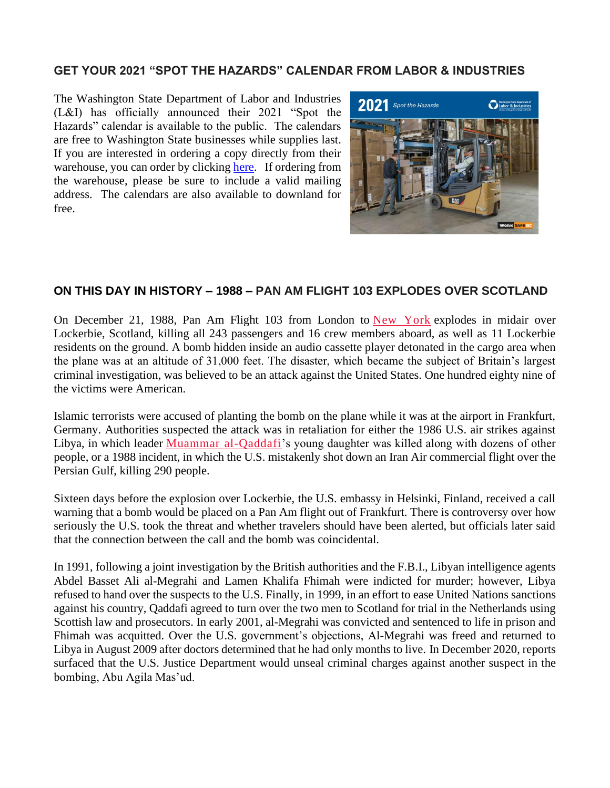## **GET YOUR 2021 "SPOT THE HAZARDS" CALENDAR FROM LABOR & INDUSTRIES**

The Washington State Department of Labor and Industries (L&I) has officially announced their 2021 "Spot the Hazards" calendar is available to the public. The calendars are free to Washington State businesses while supplies last. If you are interested in ordering a copy directly from their warehouse, you can order by clicking [here.](https://www.lni.wa.gov/safety-health/safety-calendar) If ordering from the warehouse, please be sure to include a valid mailing address. The calendars are also available to downland for free.



#### **ON THIS DAY IN HISTORY – 1988 – PAN AM FLIGHT 103 EXPLODES OVER SCOTLAND**

On December 21, 1988, Pan Am Flight 103 from London to [New York](https://www.history.com/topics/us-states/new-york) explodes in midair over Lockerbie, Scotland, killing all 243 passengers and 16 crew members aboard, as well as 11 Lockerbie residents on the ground. A bomb hidden inside an audio cassette player detonated in the cargo area when the plane was at an altitude of 31,000 feet. The disaster, which became the subject of Britain's largest criminal investigation, was believed to be an attack against the United States. One hundred eighty nine of the victims were American.

Islamic terrorists were accused of planting the bomb on the plane while it was at the airport in Frankfurt, Germany. Authorities suspected the attack was in retaliation for either the 1986 U.S. air strikes against Libya, in which leader [Muammar al-Qaddafi'](https://www.history.com/this-day-in-history/libyan-dictator-moammar-gadhafi-is-killed)s young daughter was killed along with dozens of other people, or a 1988 incident, in which the U.S. mistakenly shot down an Iran Air commercial flight over the Persian Gulf, killing 290 people.

Sixteen days before the explosion over Lockerbie, the U.S. embassy in Helsinki, Finland, received a call warning that a bomb would be placed on a Pan Am flight out of Frankfurt. There is controversy over how seriously the U.S. took the threat and whether travelers should have been alerted, but officials later said that the connection between the call and the bomb was coincidental.

In 1991, following a joint investigation by the British authorities and the F.B.I., Libyan intelligence agents Abdel Basset Ali al-Megrahi and Lamen Khalifa Fhimah were indicted for murder; however, Libya refused to hand over the suspects to the U.S. Finally, in 1999, in an effort to ease United Nations sanctions against his country, Qaddafi agreed to turn over the two men to Scotland for trial in the Netherlands using Scottish law and prosecutors. In early 2001, al-Megrahi was convicted and sentenced to life in prison and Fhimah was acquitted. Over the U.S. government's objections, Al-Megrahi was freed and returned to Libya in August 2009 after doctors determined that he had only months to live. In December 2020, reports surfaced that the U.S. Justice Department would unseal criminal charges against another suspect in the bombing, Abu Agila Mas'ud.